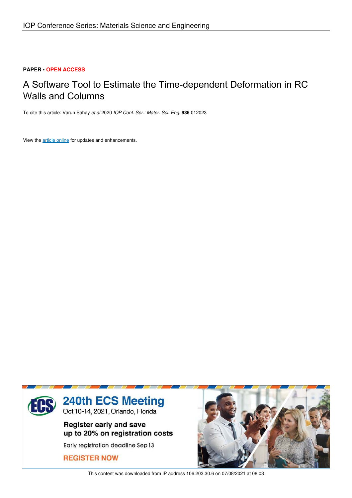# **PAPER • OPEN ACCESS**

# A Software Tool to Estimate the Time-dependent Deformation in RC Walls and Columns

To cite this article: Varun Sahay *et al* 2020 *IOP Conf. Ser.: Mater. Sci. Eng.* **936** 012023

View the article online for updates and enhancements.



This content was downloaded from IP address 106.203.30.6 on 07/08/2021 at 08:03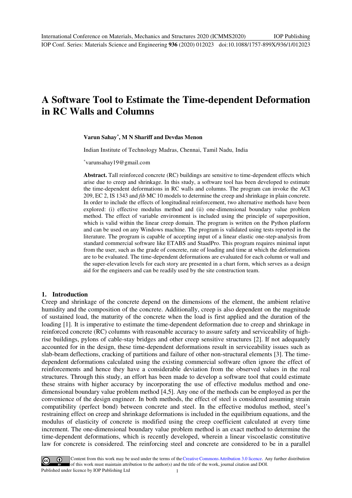# **A Software Tool to Estimate the Time-dependent Deformation in RC Walls and Columns**

# **Varun Sahay\* , M N Shariff and Devdas Menon**

Indian Institute of Technology Madras, Chennai, Tamil Nadu, India

\*[varunsahay19@gmail.com](mailto:varunsahay19@gmail.com) 

**Abstract.** Tall reinforced concrete (RC) buildings are sensitive to time-dependent effects which arise due to creep and shrinkage. In this study, a software tool has been developed to estimate the time-dependent deformations in RC walls and columns. The program can invoke the ACI 209, EC 2, IS 1343 and *fib* MC 10 models to determine the creep and shrinkage in plain concrete. In order to include the effects of longitudinal reinforcement, two alternative methods have been explored: (i) effective modulus method and (ii) one-dimensional boundary value problem method. The effect of variable environment is included using the principle of superposition, which is valid within the linear creep domain. The program is written on the Python platform and can be used on any Windows machine. The program is validated using tests reported in the literature. The program is capable of accepting input of a linear elastic one-step-analysis from standard commercial software like ETABS and StaadPro. This program requires minimal input from the user, such as the grade of concrete, rate of loading and time at which the deformations are to be evaluated. The time-dependent deformations are evaluated for each column or wall and the super-elevation levels for each story are presented in a chart form, which serves as a design aid for the engineers and can be readily used by the site construction team.

## **1. Introduction**

Creep and shrinkage of the concrete depend on the dimensions of the element, the ambient relative humidity and the composition of the concrete. Additionally, creep is also dependent on the magnitude of sustained load, the maturity of the concrete when the load is first applied and the duration of the loading [1]. It is imperative to estimate the time-dependent deformation due to creep and shrinkage in reinforced concrete (RC) columns with reasonable accuracy to assure safety and serviceability of highrise buildings, pylons of cable-stay bridges and other creep sensitive structures [2]. If not adequately accounted for in the design, these time-dependent deformations result in serviceability issues such as slab-beam deflections, cracking of partitions and failure of other non-structural elements [3]. The timedependent deformations calculated using the existing commercial software often ignore the effect of reinforcements and hence they have a considerable deviation from the observed values in the real structures. Through this study, an effort has been made to develop a software tool that could estimate these strains with higher accuracy by incorporating the use of effective modulus method and onedimensional boundary value problem method [4,5]. Any one of the methods can be employed as per the convenience of the design engineer. In both methods, the effect of steel is considered assuming strain compatibility (perfect bond) between concrete and steel. In the effective modulus method, steel's restraining effect on creep and shrinkage deformations is included in the equilibrium equations, and the modulus of elasticity of concrete is modified using the creep coefficient calculated at every time increment. The one-dimensional boundary value problem method is an exact method to determine the time-dependent deformations, which is recently developed, wherein a linear viscoelastic constitutive law for concrete is considered. The reinforcing steel and concrete are considered to be in a parallel

Content from this work may be used under the terms of theCreative Commons Attribution 3.0 licence. Any further distribution of this work must maintain attribution to the author(s) and the title of the work, journal citation and DOI. Published under licence by IOP Publishing Ltd 1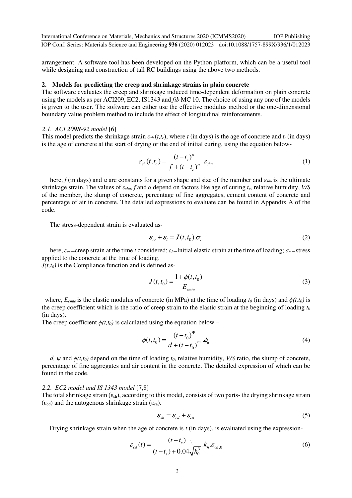arrangement. A software tool has been developed on the Python platform, which can be a useful tool while designing and construction of tall RC buildings using the above two methods.

## **2. Models for predicting the creep and shrinkage strains in plain concrete**

The software evaluates the creep and shrinkage induced time-dependent deformation on plain concrete using the models as per ACI209, EC2, IS1343 and *fib* MC 10. The choice of using any one of the models is given to the user. The software can either use the effective modulus method or the one-dimensional boundary value problem method to include the effect of longitudinal reinforcements.

### *2.1. ACI 209R-92 model* [6]

This model predicts the shrinkage strain  $\varepsilon_{sh}(t,t_c)$ , where *t* (in days) is the age of concrete and  $t_c$  (in days) is the age of concrete at the start of drying or the end of initial curing, using the equation below-

$$
\varepsilon_{sh}(t,t_c) = \frac{(t-t_c)^{\alpha}}{f + (t-t_c)^{\alpha}} \cdot \varepsilon_{shu}
$$
 (1)

here, *f* (in days) and *α* are constants for a given shape and size of the member and  $\varepsilon_{\text{shu}}$  is the ultimate shrinkage strain. The values of *εshu, f* and *α* depend on factors like age of curing *tc,* relative humidity, *V/S* of the member, the slump of concrete, percentage of fine aggregates, cement content of concrete and percentage of air in concrete. The detailed expressions to evaluate can be found in Appendix A of the code.

The stress-dependent strain is evaluated as-

$$
\varepsilon_{cr} + \varepsilon_i = J(t, t_0) \sigma_c \tag{2}
$$

here,  $\varepsilon_c$  =creep strain at the time *t* considered;  $\varepsilon_i$  =Initial elastic strain at the time of loading;  $\sigma_c$  =stress applied to the concrete at the time of loading.

 $J(t,t_0)$  is the Compliance function and is defined as-

$$
J(t, t_0) = \frac{1 + \phi(t, t_0)}{E_{\text{cm}t_0}}
$$
 (3)

where,  $E_{cmto}$  is the elastic modulus of concrete (in MPa) at the time of loading  $t_0$  (in days) and  $\phi(t,t_0)$  is the creep coefficient which is the ratio of creep strain to the elastic strain at the beginning of loading *t<sup>0</sup>* (in days).

The creep coefficient  $\phi(t,t_0)$  is calculated using the equation below –

$$
\phi(t, t_0) = \frac{(t - t_0)^{\Psi}}{d + (t - t_0)^{\Psi}} \phi_u
$$
\n(4)

*d,*  $\psi$  and  $\phi(t,t_0)$  depend on the time of loading  $t_0$ , relative humidity, *V/S* ratio, the slump of concrete, percentage of fine aggregates and air content in the concrete. The detailed expression of which can be found in the code.

## *2.2. EC2 model and IS 1343 model* [7,8]

The total shrinkage strain  $(\epsilon_{sh})$ , according to this model, consists of two parts- the drying shrinkage strain  $(\epsilon_{cd})$  and the autogenous shrinkage strain  $(\epsilon_{ca})$ .

$$
\varepsilon_{sh} = \varepsilon_{cd} + \varepsilon_{ca} \tag{5}
$$

Drying shrinkage strain when the age of concrete is *t* (in days), is evaluated using the expression-

$$
\varepsilon_{cd}(t) = \frac{(t - t_s)}{(t - t_s) + 0.04\sqrt{h_0^3}} k_h \varepsilon_{cd,0}
$$
\n(6)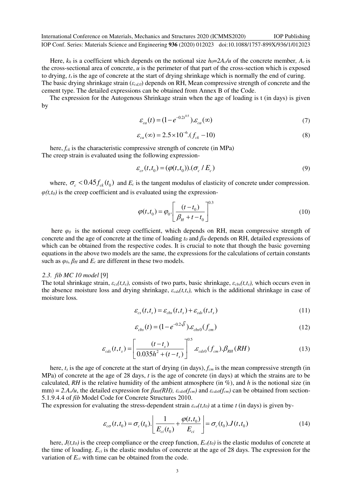International Conference on Materials, Mechanics and Structures 2020 (ICMMS2020) IOP Conf. Series: Materials Science and Engineering **936** (2020) 012023 doi:10.1088/1757-899X/936/1/012023 IOP Publishing

Here,  $k_h$  is a coefficient which depends on the notional size  $h_0=2A/du$  of the concrete member,  $A_c$  is the cross-sectional area of concrete, *u* is the perimeter of that part of the cross-section which is exposed to drying, *ts* is the age of concrete at the start of drying shrinkage which is normally the end of curing.

The basic drying shrinkage strain (*εcd,0*) depends on RH, Mean compressive strength of concrete and the cement type. The detailed expressions can be obtained from Annex B of the Code.

The expression for the Autogenous Shrinkage strain when the age of loading is t (in days) is given by

$$
\varepsilon_{ca}(t) = (1 - e^{-0.2t^{0.5}}). \varepsilon_{ca}(\infty)
$$
\n<sup>(7)</sup>

$$
\varepsilon_{ca}(\infty) = 2.5 \times 10^{-6} (f_{ck} - 10)
$$
\n(8)

here, *fck* is the characteristic compressive strength of concrete (in MPa) The creep strain is evaluated using the following expression-

$$
\varepsilon_{cr}(t,t_0) = (\varphi(t,t_0)) \cdot (\sigma_c / E_c)
$$
\n(9)

where,  $\sigma_c < 0.45 f_{ck}(t_0)$  and  $E_c$  is the tangent modulus of elasticity of concrete under compression.  $\varphi(t,t_0)$  is the creep coefficient and is evaluated using the expression-

$$
\varphi(t, t_0) = \varphi_0 \cdot \left[ \frac{(t - t_0)}{\beta_H + t - t_0} \right]^{0.3}
$$
\n(10)

 here *φ0* is the notional creep coefficient, which depends on RH, mean compressive strength of concrete and the age of concrete at the time of loading  $t_0$  and  $\beta_H$  depends on RH, detailed expressions of which can be obtained from the respective codes. It is crucial to note that though the basic governing equations in the above two models are the same, the expressions for the calculations of certain constants such as  $\varphi_0$ ,  $\beta_H$  and  $E_c$  are different in these two models.

#### *2.3. fib MC 10 model* [9]

The total shrinkage strain,  $\varepsilon_{cs}(t,t_s)$ , consists of two parts, basic shrinkage,  $\varepsilon_{cbs}(t,t_s)$ , which occurs even in the absence moisture loss and drying shrinkage, *εcds(t,ts),* which is the additional shrinkage in case of moisture loss*.*

$$
\varepsilon_{cs}(t, t_s) = \varepsilon_{obs}(t, t_s) + \varepsilon_{cds}(t, t_s)
$$
\n(11)

$$
\varepsilon_{\text{cbs}}(t) = (1 - e^{-0.2\sqrt{t}}). \varepsilon_{\text{cbs0}}(f_{\text{cm}})
$$
\n(12)

$$
\varepsilon_{cds}(t,t_s) = \left[\frac{(t-t_s)}{0.035h^2 + (t-t_s)}\right]^{0.5} . \varepsilon_{cds0}(f_{cm}).\beta_{RH}(RH)
$$
\n(13)

here, *t<sup>s</sup>* is the age of concrete at the start of drying (in days), *fcm* is the mean compressive strength (in MPa) of concrete at the age of 28 days, *t* is the age of concrete (in days) at which the strains are to be calculated, *RH* is the relative humidity of the ambient atmosphere (in %), and *h* is the notional size (in mm) =  $2.A$ /*u*, the detailed expression for  $\beta_{RH}(RH)$ ,  $\varepsilon_{cds0}(f_{cm})$  and  $\varepsilon_{cds0}(f_{cm})$  can be obtained from section-5.1.9.4.4 of *fib* Model Code for Concrete Structures 2010.

The expression for evaluating the stress-dependent strain  $\varepsilon_{c\sigma}(t,t_0)$  at a time *t* (in days) is given by-

$$
\varepsilon_{c\sigma}(t,t_0) = \sigma_c(t_0) \cdot \left[ \frac{1}{E_{ci}(t_0)} + \frac{\varphi(t,t_0)}{E_{ci}} \right] = \sigma_c(t_0) \cdot J(t,t_0)
$$
\n(14)

here,  $J(t,t_0)$  is the creep compliance or the creep function,  $E_{ci}(t_0)$  is the elastic modulus of concrete at the time of loading. *Eci* is the elastic modulus of concrete at the age of 28 days. The expression for the variation of *Eci* with time can be obtained from the code.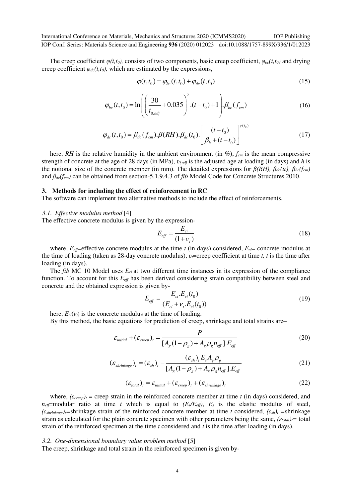The creep coefficient  $\varphi(t,t_0)$ , consists of two components, basic creep coefficient,  $\varphi_{bc}(t,t_0)$  and drying creep coefficient  $\varphi_{dc}(t,t_0)$ , which are estimated by the expressions,

$$
\varphi(t, t_0) = \varphi_{bc}(t, t_0) + \varphi_{dc}(t, t_0)
$$
\n(15)

$$
\varphi_{bc}(t,t_0) = \ln\left(\left(\frac{30}{t_{0,adj}} + 0.035\right)^2 \cdot (t - t_0) + 1\right) \cdot \beta_{bc}(f_{cm})
$$
\n(16)

$$
\varphi_{dc}(t,t_0) = \beta_{dc}(f_{cm}) \cdot \beta(RH) \cdot \beta_{dc}(t_0) \cdot \left[ \frac{(t-t_0)}{\beta_h + (t-t_0)} \right]^{\gamma(t_0)} \tag{17}
$$

here, *RH* is the relative humidity in the ambient environment (in %),  $f_{cm}$  is the mean compressive strength of concrete at the age of 28 days (in MPa), *t0,adj* is the adjusted age at loading (in days) and *h* is the notional size of the concrete member (in mm). The detailed expressions for  $β(RH)$ ,  $β_{dc}(t_0)$ ,  $β_{bc}(f_{cm})$ and *βdc(fcm)* can be obtained from section-5.1.9.4.3 of *fib* Model Code for Concrete Structures 2010*.* 

## **3. Methods for including the effect of reinforcement in RC**

The software can implement two alternative methods to include the effect of reinforcements.

### *3.1. Effective modulus method* [4]

The effective concrete modulus is given by the expression-

$$
E_{\text{eff}} = \frac{E_{\text{ci}}}{(1 + \nu_t)}\tag{18}
$$

where,  $E_{\text{eff}}$ =effective concrete modulus at the time *t* (in days) considered,  $E_{\text{ci}}$ = concrete modulus at the time of loading (taken as 28-day concrete modulus), *υ<sub>t</sub>*=creep coefficient at time *t*, *t* is the time after loading (in days).

The *fib* MC 10 Model uses *Eci* at two different time instances in its expression of the compliance function. To account for this *Eeff* has been derived considering strain compatibility between steel and concrete and the obtained expression is given by-

$$
E_{\text{eff}} = \frac{E_{ci} E_{ci}(t_0)}{(E_{ci} + v_t.E_{ci}(t_0))}
$$
\n(19)

here,  $E_{ci}(t_0)$  is the concrete modulus at the time of loading.

By this method, the basic equations for prediction of creep, shrinkage and total strains are–

$$
\varepsilon_{initial} + (\varepsilon_{creep})_t = \frac{P}{[A_g(1-\rho_g) + A_g \rho_g n_{\text{eff}}] \cdot E_{\text{eff}}}
$$
(20)

$$
(\varepsilon_{shrinkage})_t = (\varepsilon_{sh})_t - \frac{(\varepsilon_{sh})_t E_s A_g \rho_g}{[A_g (1 - \rho_g) + A_g \rho_g n_{eff}].E_{eff}}
$$
(21)

$$
(\varepsilon_{total})_t = \varepsilon_{initial} + (\varepsilon_{creep})_t + (\varepsilon_{shrinkage})_t
$$
 (22)

where, *(εcreep)<sup>t</sup>* = creep strain in the reinforced concrete member at time *t* (in days) considered, and  $n_{\text{eff}}$ =modular ratio at time *t* which is equal to *(E*<sub>*s*</sub>*/E*<sub>*eff</sub>), <i>E*<sub>*s*</sub> is the elastic modulus of steel,</sub>  $(\varepsilon_{shrinkage})$ *j*=shrinkage strain of the reinforced concrete member at time *t* considered,  $(\varepsilon_{sh})$ *t* =shrinkage strain as calculated for the plain concrete specimen with other parameters being the same, *(εtotal)t=* total strain of the reinforced specimen at the time *t* considered and *t* is the time after loading (in days).

#### *3.2. One-dimensional boundary value problem method* [5]

The creep, shrinkage and total strain in the reinforced specimen is given by-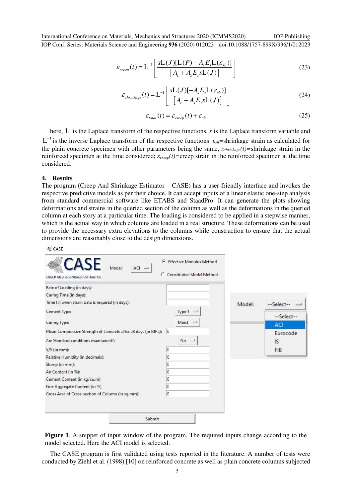International Conference on Materials, Mechanics and Structures 2020 (ICMMS2020) IOP Conf. Series: Materials Science and Engineering **936** (2020) 012023 doi:10.1088/1757-899X/936/1/012023 IOP Publishing

$$
\varepsilon_{\text{creep}}(t) = \mathcal{L}^{-1} \left[ \frac{s \mathcal{L}(J) [\mathcal{L}(P) - A_{s} E_{s} \mathcal{L}(\varepsilon_{\text{sh}})]}{\left[ A_{c} + A_{s} E_{s} s \mathcal{L}(J) \right]} \right]
$$
(23)

$$
\varepsilon_{\text{shrinkage}}(t) = L^{-1} \left[ \frac{sL(J)[-A_s E_s L(\varepsilon_{sh})]}{[A_c + A_s E_s S L(J)]} \right]
$$
\n(24)

$$
\varepsilon_{\text{total}}(t) = \varepsilon_{\text{creep}}(t) + \varepsilon_{\text{sh}} \tag{25}
$$

here, L is the Laplace transform of the respective functions, *s* is the Laplace transform variable and  $L^{-1}$  is the inverse Laplace transform of the respective functions.  $\varepsilon_{sh}$ =shrinkage strain as calculated for the plain concrete specimen with other parameters being the same, *εshrinkage(t)=*shrinkage strain in the reinforced specimen at the time considered; *εcreep(t)=*creep strain in the reinforced specimen at the time considered.

## **4. Results**

**CASE** 

The program (Creep And Shrinkage Estimator – CASE) has a user-friendly interface and invokes the respective predictive models as per their choice. It can accept inputs of a linear elastic one-step analysis from standard commercial software like ETABS and StaadPro. It can generate the plots showing deformations and strains in the queried section of the column as well as the deformations in the queried column at each story at a particular time. The loading is considered to be applied in a stepwise manner, which is the actual way in which columns are loaded in a real structure. These deformations can be used to provide the necessary extra elevations to the columns while construction to ensure that the actual dimensions are reasonably close to the design dimensions.

| Rate of Loading (in days):<br>Curing Time (in days):<br>Time till when strain data is required (in days): |                                       |
|-----------------------------------------------------------------------------------------------------------|---------------------------------------|
|                                                                                                           |                                       |
|                                                                                                           |                                       |
|                                                                                                           | Model:<br>--Select--                  |
| Cement Type:                                                                                              | $Type-I$ $-1$<br>--Select--           |
| Curing Type:                                                                                              | Moist $\longrightarrow$<br><b>ACI</b> |
| Mean Compressive Strength of Concrete after 28 days (in MPa):<br> 0                                       | Eurocode                              |
| Are Standard conditions maintained?:                                                                      | $No =$<br>IS                          |
| $V/S$ (in mm):<br>10                                                                                      | FIB                                   |
| 10<br>Relative Humidity (in decimals):                                                                    |                                       |
| Slump (in mm):<br>۱O                                                                                      |                                       |
| Air Content (in %):<br>10                                                                                 |                                       |
| Cement Content (in kg/cu.m):<br>10                                                                        |                                       |
| Fine Aggregate Content (in %)<br>O                                                                        |                                       |
| 0<br>Gross Area of Cross-section of Column (in sq.mm):                                                    |                                       |

**Figure 1**. A snippet of input window of the program. The required inputs change according to the model selected. Here the ACI model is selected.

The CASE program is first validated using tests reported in the literature. A number of tests were conducted by Ziehl et al. (1998) [10] on reinforced concrete as well as plain concrete columns subjected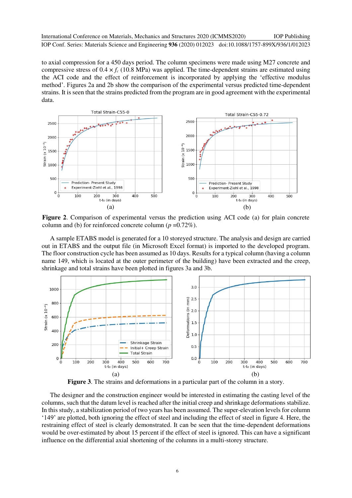to axial compression for a 450 days period. The column specimens were made using M27 concrete and compressive stress of  $0.4 \times f_c$  (10.8 MPa) was applied. The time-dependent strains are estimated using the ACI code and the effect of reinforcement is incorporated by applying the 'effective modulus method'. Figures 2a and 2b show the comparison of the experimental versus predicted time-dependent strains. It is seen that the strains predicted from the program are in good agreement with the experimental data.



**Figure 2**. Comparison of experimental versus the prediction using ACI code (a) for plain concrete column and (b) for reinforced concrete column (*p* =0.72%).

A sample ETABS model is generated for a 10 storeyed structure. The analysis and design are carried out in ETABS and the output file (in Microsoft Excel format) is imported to the developed program. The floor construction cycle has been assumed as 10 days. Results for a typical column (having a column name 149, which is located at the outer perimeter of the building) have been extracted and the creep, shrinkage and total strains have been plotted in figures 3a and 3b.



**Figure 3**. The strains and deformations in a particular part of the column in a story.

The designer and the construction engineer would be interested in estimating the casting level of the columns, such that the datum level is reached after the initial creep and shrinkage deformations stabilize. In this study, a stabilization period of two years has been assumed. The super-elevation levels for column '149' are plotted, both ignoring the effect of steel and including the effect of steel in figure 4. Here, the restraining effect of steel is clearly demonstrated. It can be seen that the time-dependent deformations would be over-estimated by about 15 percent if the effect of steel is ignored. This can have a significant influence on the differential axial shortening of the columns in a multi-storey structure.